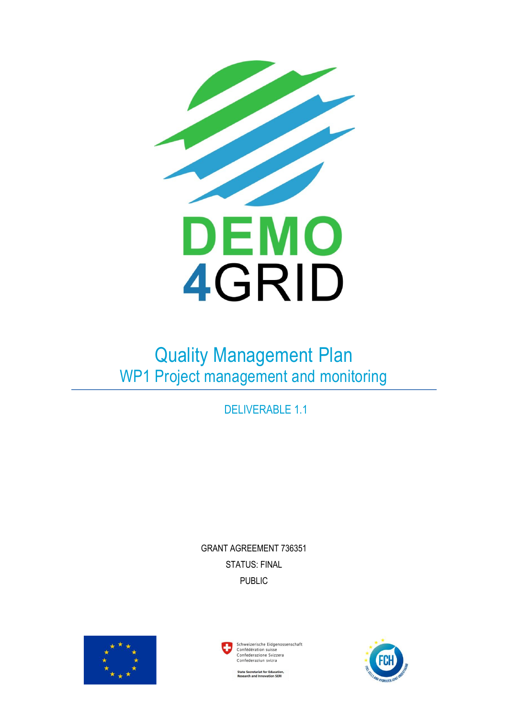

# Quality Management Plan WP1 Project management and monitoring

DELIVERABLE 1.1

GRANT AGREEMENT 736351 STATUS: FINAL PUBLIC





ate Secretariat for Educatio<br>search and Innovation SERI

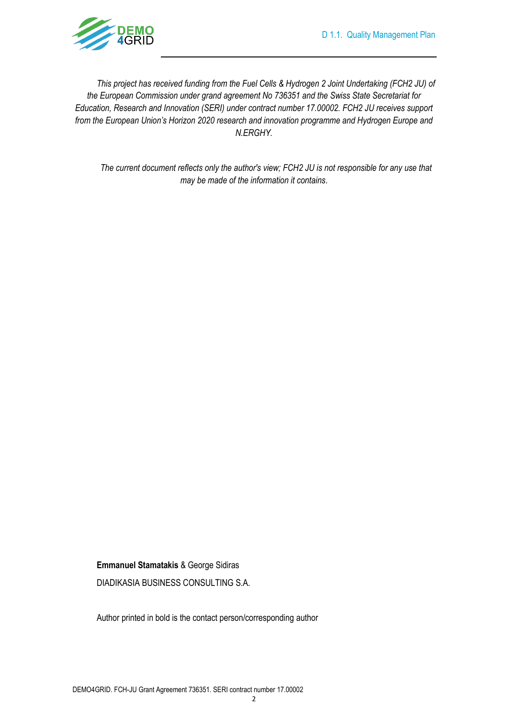

*This project has received funding from the Fuel Cells & Hydrogen 2 Joint Undertaking (FCH2 JU) of the European Commission under grand agreement No 736351 and the Swiss State Secretariat for Education, Research and Innovation (SERI) under contract number 17.00002. FCH2 JU receives support from the European Union's Horizon 2020 research and innovation programme and Hydrogen Europe and N.ERGHY.*

*The current document reflects only the author's view; FCH2 JU is not responsible for any use that may be made of the information it contains*.

#### **Emmanuel Stamatakis** & George Sidiras

DIADIKASIA BUSINESS CONSULTING S.A.

Author printed in bold is the contact person/corresponding author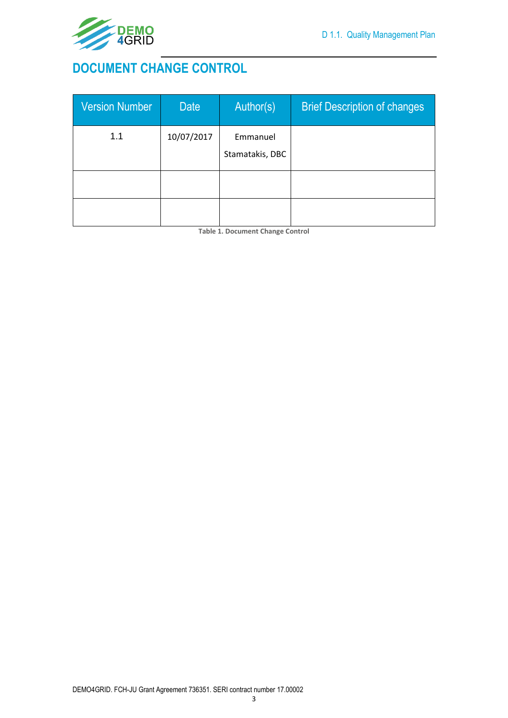

## <span id="page-2-0"></span>**DOCUMENT CHANGE CONTROL**

| <b>Version Number</b> | <b>Date</b> | Author(s)                   | <b>Brief Description of changes</b> |
|-----------------------|-------------|-----------------------------|-------------------------------------|
| 1.1                   | 10/07/2017  | Emmanuel<br>Stamatakis, DBC |                                     |
|                       |             |                             |                                     |

<span id="page-2-1"></span>**Table 1. Document Change Control**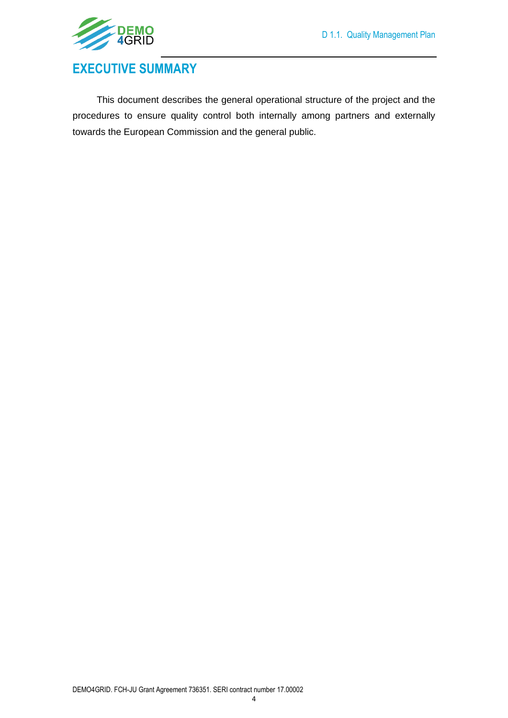

## <span id="page-3-0"></span>**EXECUTIVE SUMMARY**

This document describes the general operational structure of the project and the procedures to ensure quality control both internally among partners and externally towards the European Commission and the general public.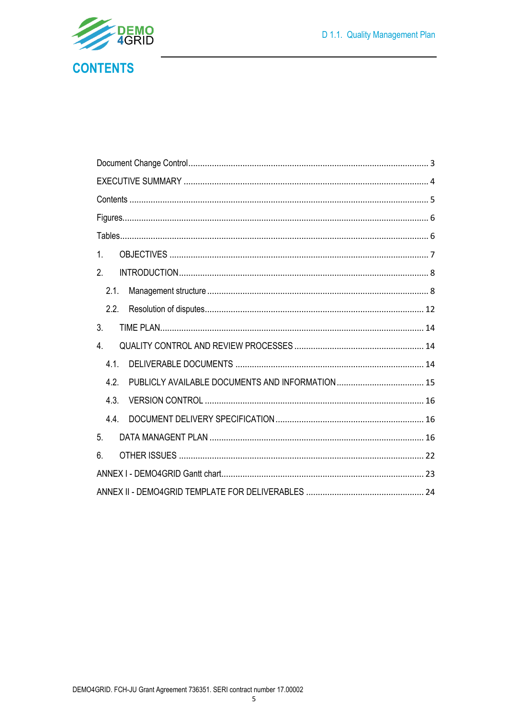<span id="page-4-0"></span>

| 1.             |  |
|----------------|--|
| 2 <sub>1</sub> |  |
| 2.1.           |  |
|                |  |
| 3.             |  |
| 4.             |  |
| 4.1.           |  |
| 4.2.           |  |
| 4.3.           |  |
| 4.4.           |  |
| 5.             |  |
| 6.             |  |
|                |  |
|                |  |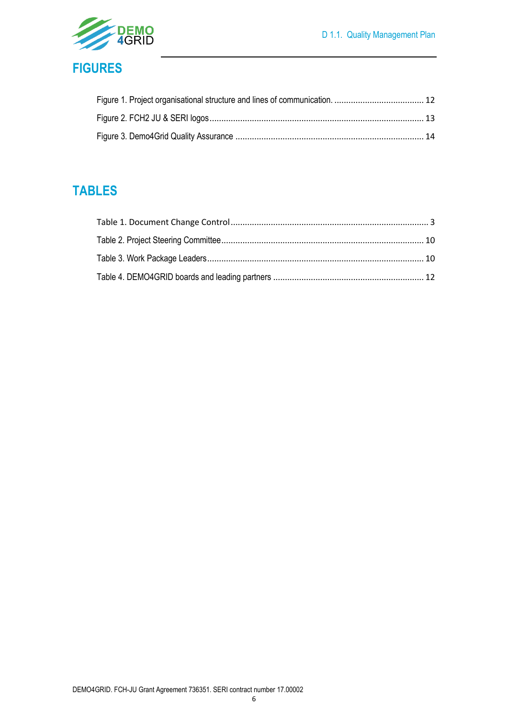

<span id="page-5-0"></span>

## <span id="page-5-1"></span>**TABLES**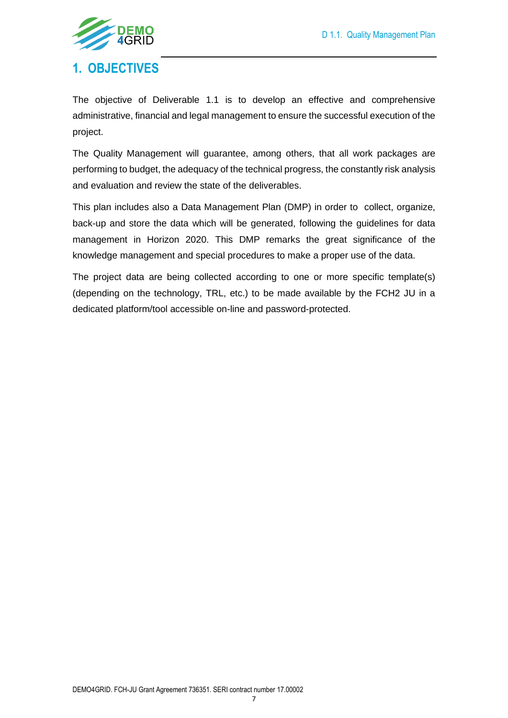

### <span id="page-6-0"></span>**1. OBJECTIVES**

The objective of Deliverable 1.1 is to develop an effective and comprehensive administrative, financial and legal management to ensure the successful execution of the project.

The Quality Management will guarantee, among others, that all work packages are performing to budget, the adequacy of the technical progress, the constantly risk analysis and evaluation and review the state of the deliverables.

This plan includes also a Data Management Plan (DMP) in order to collect, organize, back-up and store the data which will be generated, following the guidelines for data management in Horizon 2020. This DMP remarks the great significance of the knowledge management and special procedures to make a proper use of the data.

The project data are being collected according to one or more specific template(s) (depending on the technology, TRL, etc.) to be made available by the FCH2 JU in a dedicated platform/tool accessible on-line and password-protected.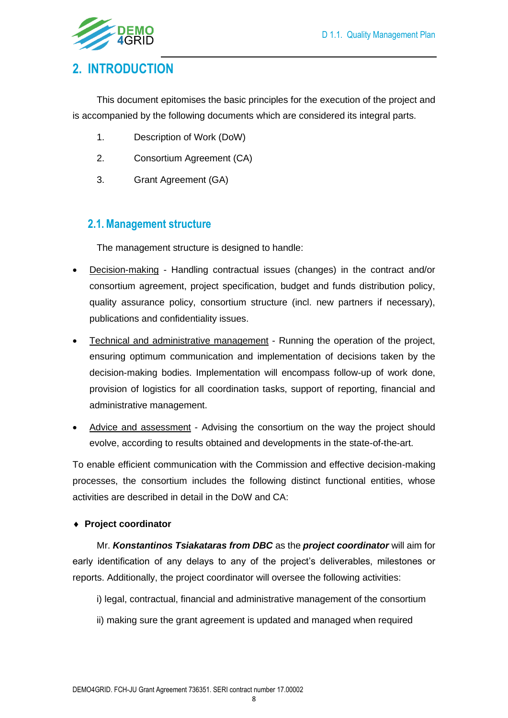

### <span id="page-7-0"></span>**2. INTRODUCTION**

This document epitomises the basic principles for the execution of the project and is accompanied by the following documents which are considered its integral parts.

- 1. Description of Work (DoW)
- 2. Consortium Agreement (CA)
- 3. Grant Agreement (GA)

### <span id="page-7-1"></span>**2.1.Management structure**

The management structure is designed to handle:

- Decision-making Handling contractual issues (changes) in the contract and/or consortium agreement, project specification, budget and funds distribution policy, quality assurance policy, consortium structure (incl. new partners if necessary), publications and confidentiality issues.
- Technical and administrative management Running the operation of the project, ensuring optimum communication and implementation of decisions taken by the decision-making bodies. Implementation will encompass follow-up of work done, provision of logistics for all coordination tasks, support of reporting, financial and administrative management.
- Advice and assessment Advising the consortium on the way the project should evolve, according to results obtained and developments in the state-of-the-art.

To enable efficient communication with the Commission and effective decision-making processes, the consortium includes the following distinct functional entities, whose activities are described in detail in the DoW and CA:

#### **Project coordinator**

Mr. *Konstantinos Tsiakataras from DBC* as the *project coordinator* will aim for early identification of any delays to any of the project's deliverables, milestones or reports. Additionally, the project coordinator will oversee the following activities:

- i) legal, contractual, financial and administrative management of the consortium
- ii) making sure the grant agreement is updated and managed when required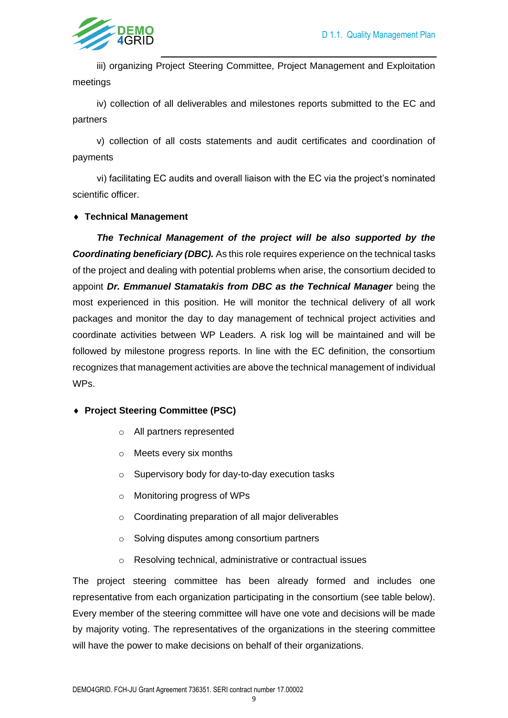

iii) organizing Project Steering Committee, Project Management and Exploitation meetings

iv) collection of all deliverables and milestones reports submitted to the EC and partners

v) collection of all costs statements and audit certificates and coordination of payments

vi) facilitating EC audits and overall liaison with the EC via the project's nominated scientific officer.

#### **Technical Management**

*The Technical Management of the project will be also supported by the Coordinating beneficiary (DBC).* As this role requires experience on the technical tasks of the project and dealing with potential problems when arise, the consortium decided to appoint *Dr. Emmanuel Stamatakis from DBC as the Technical Manager* being the most experienced in this position. He will monitor the technical delivery of all work packages and monitor the day to day management of technical project activities and coordinate activities between WP Leaders. A risk log will be maintained and will be followed by milestone progress reports. In line with the EC definition, the consortium recognizes that management activities are above the technical management of individual WPs.

#### **Project Steering Committee (PSC)**

- o All partners represented
- o Meets every six months
- o Supervisory body for day-to-day execution tasks
- o Monitoring progress of WPs
- o Coordinating preparation of all major deliverables
- o Solving disputes among consortium partners
- o Resolving technical, administrative or contractual issues

The project steering committee has been already formed and includes one representative from each organization participating in the consortium (see table below). Every member of the steering committee will have one vote and decisions will be made by majority voting. The representatives of the organizations in the steering committee will have the power to make decisions on behalf of their organizations.

9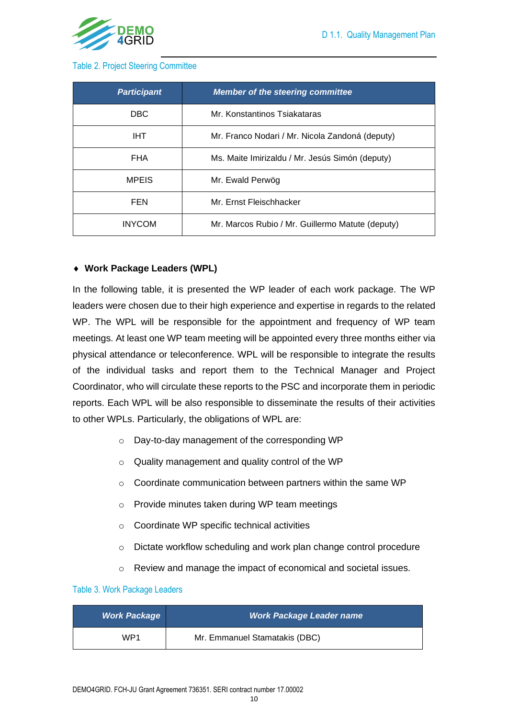

#### <span id="page-9-0"></span>Table 2. Project Steering Committee

| <b>Participant</b> | <b>Member of the steering committee</b>          |  |  |  |  |  |  |
|--------------------|--------------------------------------------------|--|--|--|--|--|--|
| DBC.               | Mr. Konstantinos Tsiakataras                     |  |  |  |  |  |  |
| <b>IHT</b>         | Mr. Franco Nodari / Mr. Nicola Zandoná (deputy)  |  |  |  |  |  |  |
| <b>FHA</b>         | Ms. Maite Imirizaldu / Mr. Jesús Simón (deputy)  |  |  |  |  |  |  |
| <b>MPEIS</b>       | Mr. Ewald Perwög                                 |  |  |  |  |  |  |
| FEN                | Mr. Ernst Fleischhacker                          |  |  |  |  |  |  |
| <b>INYCOM</b>      | Mr. Marcos Rubio / Mr. Guillermo Matute (deputy) |  |  |  |  |  |  |

#### **Work Package Leaders (WPL)**

In the following table, it is presented the WP leader of each work package. The WP leaders were chosen due to their high experience and expertise in regards to the related WP. The WPL will be responsible for the appointment and frequency of WP team meetings. At least one WP team meeting will be appointed every three months either via physical attendance or teleconference. WPL will be responsible to integrate the results of the individual tasks and report them to the Technical Manager and Project Coordinator, who will circulate these reports to the PSC and incorporate them in periodic reports. Each WPL will be also responsible to disseminate the results of their activities to other WPLs. Particularly, the obligations of WPL are:

- o Day-to-day management of the corresponding WP
- o Quality management and quality control of the WP
- o Coordinate communication between partners within the same WP
- o Provide minutes taken during WP team meetings
- o Coordinate WP specific technical activities
- o Dictate workflow scheduling and work plan change control procedure
- o Review and manage the impact of economical and societal issues.

#### <span id="page-9-1"></span>Table 3. Work Package Leaders

| <b>Work Package</b> | <b>Work Package Leader name</b> |
|---------------------|---------------------------------|
| WP1                 | Mr. Emmanuel Stamatakis (DBC)   |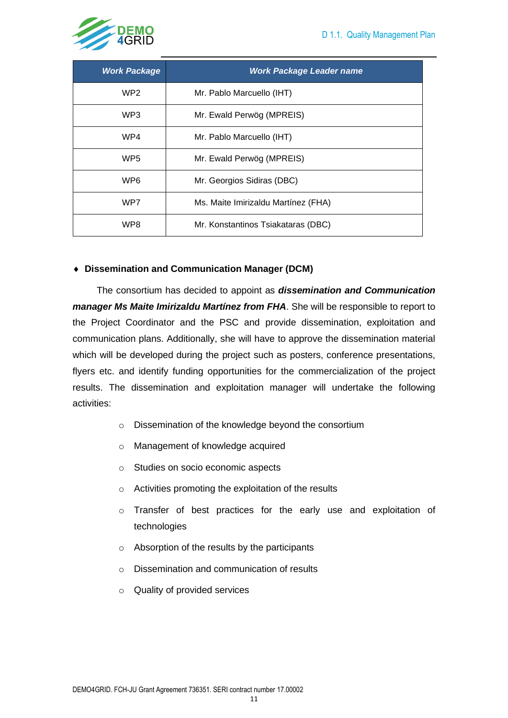

| <b>Work Package</b> | <b>Work Package Leader name</b>     |
|---------------------|-------------------------------------|
| WP2                 | Mr. Pablo Marcuello (IHT)           |
| WP <sub>3</sub>     | Mr. Ewald Perwög (MPREIS)           |
| WP4                 | Mr. Pablo Marcuello (IHT)           |
| WP <sub>5</sub>     | Mr. Ewald Perwög (MPREIS)           |
| WP <sub>6</sub>     | Mr. Georgios Sidiras (DBC)          |
| WP7                 | Ms. Maite Imirizaldu Martínez (FHA) |
| WP8                 | Mr. Konstantinos Tsiakataras (DBC)  |

#### **Dissemination and Communication Manager (DCM)**

The consortium has decided to appoint as *dissemination and Communication manager Ms Maite Imirizaldu Martínez from FHA*. She will be responsible to report to the Project Coordinator and the PSC and provide dissemination, exploitation and communication plans. Additionally, she will have to approve the dissemination material which will be developed during the project such as posters, conference presentations, flyers etc. and identify funding opportunities for the commercialization of the project results. The dissemination and exploitation manager will undertake the following activities:

- o Dissemination of the knowledge beyond the consortium
- o Management of knowledge acquired
- o Studies on socio economic aspects
- o Activities promoting the exploitation of the results
- o Transfer of best practices for the early use and exploitation of technologies
- o Absorption of the results by the participants
- o Dissemination and communication of results
- o Quality of provided services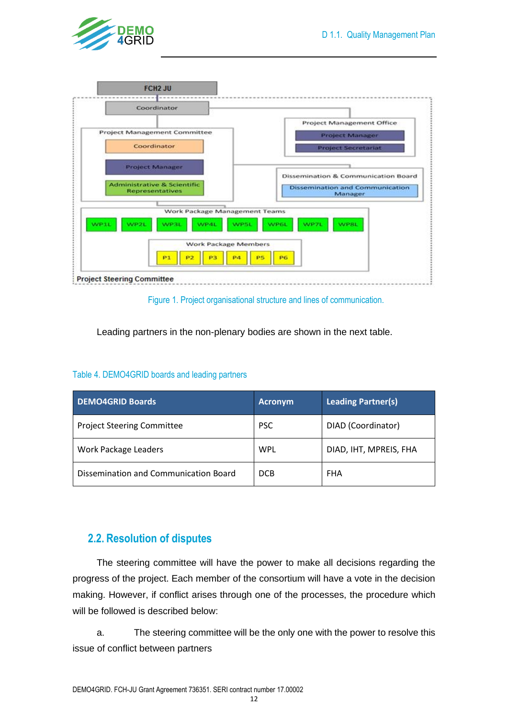





<span id="page-11-1"></span>Leading partners in the non-plenary bodies are shown in the next table.

#### <span id="page-11-2"></span>Table 4. DEMO4GRID boards and leading partners

| <b>DEMO4GRID Boards</b>               | <b>Acronym</b> | <b>Leading Partner(s)</b> |  |  |  |  |  |  |  |  |
|---------------------------------------|----------------|---------------------------|--|--|--|--|--|--|--|--|
| <b>Project Steering Committee</b>     | <b>PSC</b>     | DIAD (Coordinator)        |  |  |  |  |  |  |  |  |
| Work Package Leaders                  | WPL            | DIAD, IHT, MPREIS, FHA    |  |  |  |  |  |  |  |  |
| Dissemination and Communication Board | <b>DCB</b>     | FHA                       |  |  |  |  |  |  |  |  |

### <span id="page-11-0"></span>**2.2. Resolution of disputes**

The steering committee will have the power to make all decisions regarding the progress of the project. Each member of the consortium will have a vote in the decision making. However, if conflict arises through one of the processes, the procedure which will be followed is described below:

a. The steering committee will be the only one with the power to resolve this issue of conflict between partners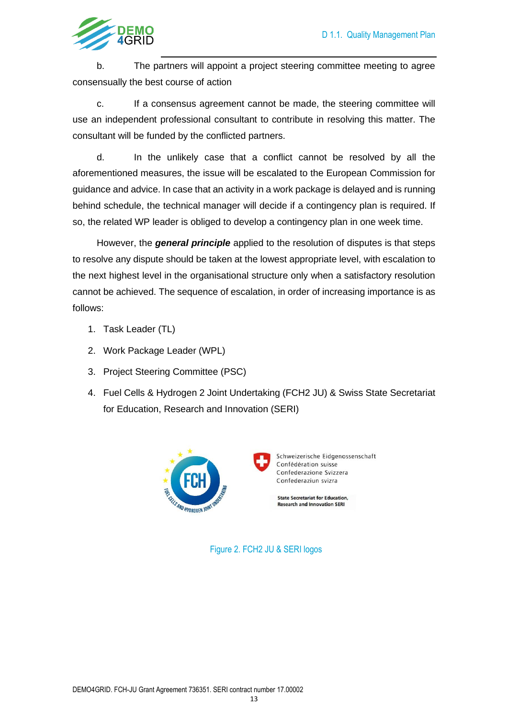

b. The partners will appoint a project steering committee meeting to agree consensually the best course of action

c. If a consensus agreement cannot be made, the steering committee will use an independent professional consultant to contribute in resolving this matter. The consultant will be funded by the conflicted partners.

d. In the unlikely case that a conflict cannot be resolved by all the aforementioned measures, the issue will be escalated to the European Commission for guidance and advice. In case that an activity in a work package is delayed and is running behind schedule, the technical manager will decide if a contingency plan is required. If so, the related WP leader is obliged to develop a contingency plan in one week time.

However, the *general principle* applied to the resolution of disputes is that steps to resolve any dispute should be taken at the lowest appropriate level, with escalation to the next highest level in the organisational structure only when a satisfactory resolution cannot be achieved. The sequence of escalation, in order of increasing importance is as follows:

- 1. Task Leader (TL)
- 2. Work Package Leader (WPL)
- 3. Project Steering Committee (PSC)
- 4. Fuel Cells & Hydrogen 2 Joint Undertaking (FCH2 JU) & Swiss State Secretariat for Education, Research and Innovation (SERI)

<span id="page-12-0"></span>

Figure 2. FCH2 JU & SERI logos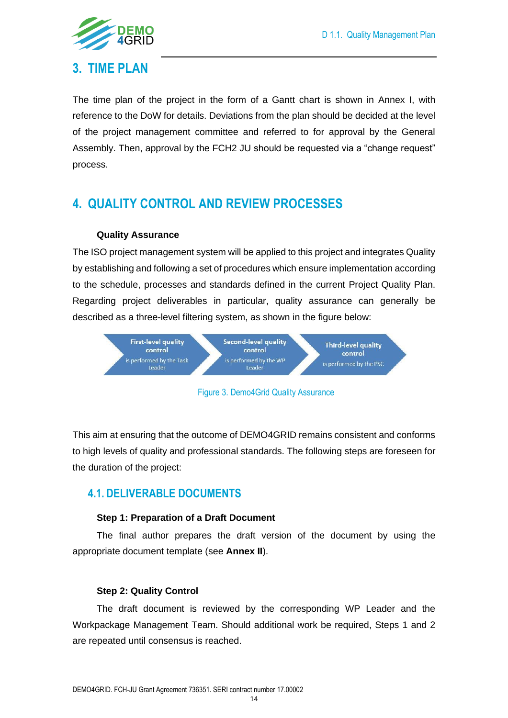

### <span id="page-13-0"></span>**3. TIME PLAN**

The time plan of the project in the form of a Gantt chart is shown in Annex I, with reference to the DoW for details. Deviations from the plan should be decided at the level of the project management committee and referred to for approval by the General Assembly. Then, approval by the FCH2 JU should be requested via a "change request" process.

## <span id="page-13-1"></span>**4. QUALITY CONTROL AND REVIEW PROCESSES**

#### **Quality Assurance**

The ISO project management system will be applied to this project and integrates Quality by establishing and following a set of procedures which ensure implementation according to the schedule, processes and standards defined in the current Project Quality Plan. Regarding project deliverables in particular, quality assurance can generally be described as a three-level filtering system, as shown in the figure below:





<span id="page-13-3"></span>This aim at ensuring that the outcome of DEMO4GRID remains consistent and conforms to high levels of quality and professional standards. The following steps are foreseen for the duration of the project:

### <span id="page-13-2"></span>**4.1. DELIVERABLE DOCUMENTS**

#### **Step 1: Preparation of a Draft Document**

The final author prepares the draft version of the document by using the appropriate document template (see **Annex II**).

#### **Step 2: Quality Control**

The draft document is reviewed by the corresponding WP Leader and the Workpackage Management Team. Should additional work be required, Steps 1 and 2 are repeated until consensus is reached.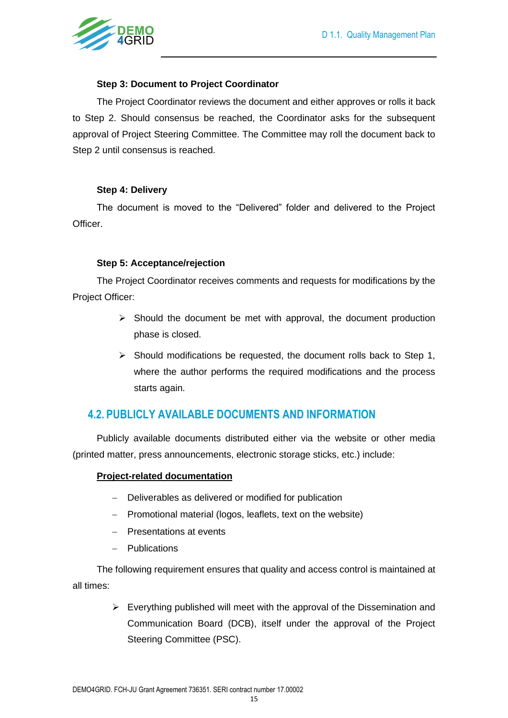

#### **Step 3: Document to Project Coordinator**

The Project Coordinator reviews the document and either approves or rolls it back to Step 2. Should consensus be reached, the Coordinator asks for the subsequent approval of Project Steering Committee. The Committee may roll the document back to Step 2 until consensus is reached.

#### **Step 4: Delivery**

The document is moved to the "Delivered" folder and delivered to the Project Officer.

#### **Step 5: Acceptance/rejection**

The Project Coordinator receives comments and requests for modifications by the Project Officer:

- $\triangleright$  Should the document be met with approval, the document production phase is closed.
- ➢ Should modifications be requested, the document rolls back to Step 1, where the author performs the required modifications and the process starts again.

### <span id="page-14-0"></span>**4.2. PUBLICLY AVAILABLE DOCUMENTS AND INFORMATION**

Publicly available documents distributed either via the website or other media (printed matter, press announcements, electronic storage sticks, etc.) include:

#### **Project-related documentation**

- − Deliverables as delivered or modified for publication
- − Promotional material (logos, leaflets, text on the website)
- − Presentations at events
- − Publications

The following requirement ensures that quality and access control is maintained at all times:

> $\triangleright$  Everything published will meet with the approval of the Dissemination and Communication Board (DCB), itself under the approval of the Project Steering Committee (PSC).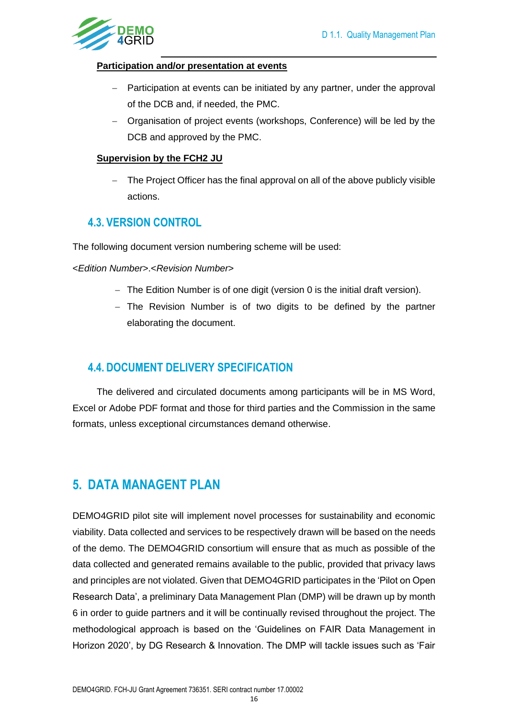

#### **Participation and/or presentation at events**

- Participation at events can be initiated by any partner, under the approval of the DCB and, if needed, the PMC.
- − Organisation of project events (workshops, Conference) will be led by the DCB and approved by the PMC.

#### **Supervision by the FCH2 JU**

− The Project Officer has the final approval on all of the above publicly visible actions.

### <span id="page-15-0"></span>**4.3. VERSION CONTROL**

The following document version numbering scheme will be used:

<*Edition Number*>.<*Revision Number*>

- − The Edition Number is of one digit (version 0 is the initial draft version).
- − The Revision Number is of two digits to be defined by the partner elaborating the document.

### <span id="page-15-1"></span>**4.4. DOCUMENT DELIVERY SPECIFICATION**

The delivered and circulated documents among participants will be in MS Word, Excel or Adobe PDF format and those for third parties and the Commission in the same formats, unless exceptional circumstances demand otherwise.

### <span id="page-15-2"></span>**5. DATA MANAGENT PLAN**

DEMO4GRID pilot site will implement novel processes for sustainability and economic viability. Data collected and services to be respectively drawn will be based on the needs of the demo. The DEMO4GRID consortium will ensure that as much as possible of the data collected and generated remains available to the public, provided that privacy laws and principles are not violated. Given that DEMO4GRID participates in the 'Pilot on Open Research Data', a preliminary Data Management Plan (DMP) will be drawn up by month 6 in order to guide partners and it will be continually revised throughout the project. The methodological approach is based on the 'Guidelines on FAIR Data Management in Horizon 2020', by DG Research & Innovation. The DMP will tackle issues such as 'Fair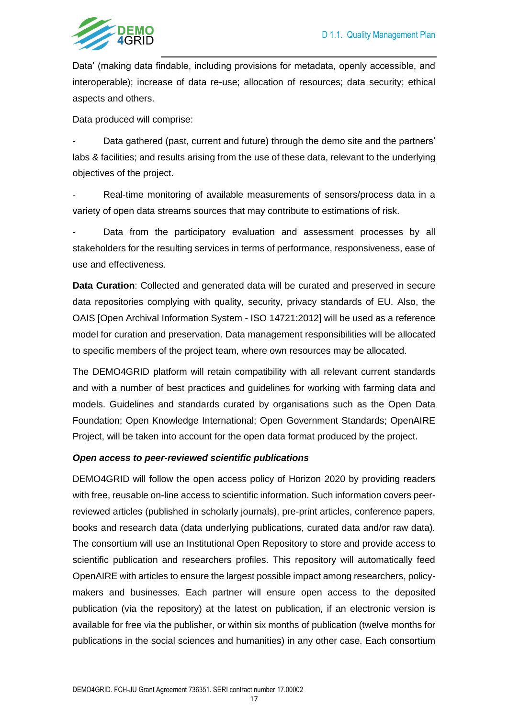

Data' (making data findable, including provisions for metadata, openly accessible, and interoperable); increase of data re-use; allocation of resources; data security; ethical aspects and others.

Data produced will comprise:

Data gathered (past, current and future) through the demo site and the partners' labs & facilities; and results arising from the use of these data, relevant to the underlying objectives of the project.

Real-time monitoring of available measurements of sensors/process data in a variety of open data streams sources that may contribute to estimations of risk.

Data from the participatory evaluation and assessment processes by all stakeholders for the resulting services in terms of performance, responsiveness, ease of use and effectiveness.

**Data Curation**: Collected and generated data will be curated and preserved in secure data repositories complying with quality, security, privacy standards of EU. Also, the OAIS [Open Archival Information System - ISO 14721:2012] will be used as a reference model for curation and preservation. Data management responsibilities will be allocated to specific members of the project team, where own resources may be allocated.

The DEMO4GRID platform will retain compatibility with all relevant current standards and with a number of best practices and guidelines for working with farming data and models. Guidelines and standards curated by organisations such as the Open Data Foundation; Open Knowledge International; Open Government Standards; OpenAIRE Project, will be taken into account for the open data format produced by the project.

#### *Open access to peer-reviewed scientific publications*

DEMO4GRID will follow the open access policy of Horizon 2020 by providing readers with free, reusable on-line access to scientific information. Such information covers peerreviewed articles (published in scholarly journals), pre-print articles, conference papers, books and research data (data underlying publications, curated data and/or raw data). The consortium will use an Institutional Open Repository to store and provide access to scientific publication and researchers profiles. This repository will automatically feed OpenAIRE with articles to ensure the largest possible impact among researchers, policymakers and businesses. Each partner will ensure open access to the deposited publication (via the repository) at the latest on publication, if an electronic version is available for free via the publisher, or within six months of publication (twelve months for publications in the social sciences and humanities) in any other case. Each consortium

17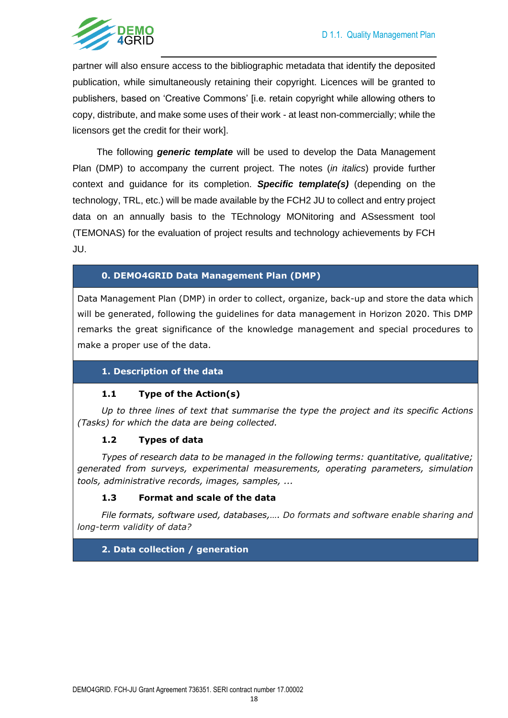

partner will also ensure access to the bibliographic metadata that identify the deposited publication, while simultaneously retaining their copyright. Licences will be granted to publishers, based on 'Creative Commons' [i.e. retain copyright while allowing others to copy, distribute, and make some uses of their work - at least non-commercially; while the licensors get the credit for their work].

The following *generic template* will be used to develop the Data Management Plan (DMP) to accompany the current project. The notes (*in italics*) provide further context and guidance for its completion. *Specific template(s)* (depending on the technology, TRL, etc.) will be made available by the FCH2 JU to collect and entry project data on an annually basis to the TEchnology MONitoring and ASsessment tool (TEMONAS) for the evaluation of project results and technology achievements by FCH JU.

#### **0. DEMO4GRID Data Management Plan (DMP)**

Data Management Plan (DMP) in order to collect, organize, back-up and store the data which will be generated, following the guidelines for data management in Horizon 2020. This DMP remarks the great significance of the knowledge management and special procedures to make a proper use of the data.

#### **1. Description of the data**

#### **1.1 Type of the Action(s)**

*Up to three lines of text that summarise the type the project and its specific Actions (Tasks) for which the data are being collected.*

#### **1.2 Types of data**

*Types of research data to be managed in the following terms: quantitative, qualitative; generated from surveys, experimental measurements, operating parameters, simulation tools, administrative records, images, samples, ...*

#### **1.3 Format and scale of the data**

*File formats, software used, databases,…. Do formats and software enable sharing and long-term validity of data?*

#### **2. Data collection / generation**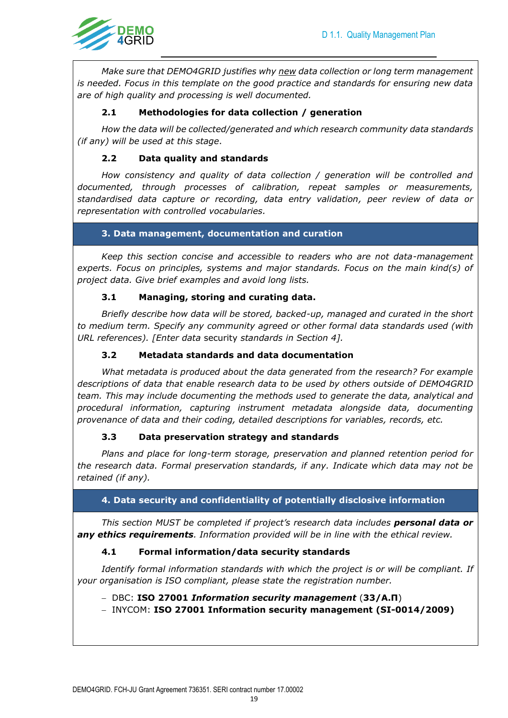

*Make sure that DEMO4GRID justifies why new data collection or long term management is needed. Focus in this template on the good practice and standards for ensuring new data are of high quality and processing is well documented.*

#### **2.1 Methodologies for data collection / generation**

*How the data will be collected/generated and which research community data standards (if any) will be used at this stage*.

#### **2.2 Data quality and standards**

*How consistency and quality of data collection / generation will be controlled and documented, through processes of calibration, repeat samples or measurements, standardised data capture or recording, data entry validation, peer review of data or representation with controlled vocabularies.*

#### **3. Data management, documentation and curation**

*Keep this section concise and accessible to readers who are not data-management experts. Focus on principles, systems and major standards. Focus on the main kind(s) of project data. Give brief examples and avoid long lists.*

#### **3.1 Managing, storing and curating data.**

*Briefly describe how data will be stored, backed-up, managed and curated in the short to medium term. Specify any community agreed or other formal data standards used (with URL references). [Enter data* security *standards in Section 4].* 

#### **3.2 Metadata standards and data documentation**

*What metadata is produced about the data generated from the research? For example descriptions of data that enable research data to be used by others outside of DEMO4GRID team. This may include documenting the methods used to generate the data, analytical and procedural information, capturing instrument metadata alongside data, documenting provenance of data and their coding, detailed descriptions for variables, records, etc.*

#### **3.3 Data preservation strategy and standards**

*Plans and place for long-term storage, preservation and planned retention period for the research data. Formal preservation standards, if any. Indicate which data may not be retained (if any).*

#### **4. Data security and confidentiality of potentially disclosive information**

*This section MUST be completed if project's research data includes personal data or any ethics requirements. Information provided will be in line with the ethical review.* 

#### **4.1 Formal information/data security standards**

*Identify formal information standards with which the project is or will be compliant. If your organisation is ISO compliant, please state the registration number.*

#### − DBC: **ISO 27001** *Information security management* (**33/A.Π**)

− INYCOM: **ISO 27001 Information security management (SI-0014/2009)**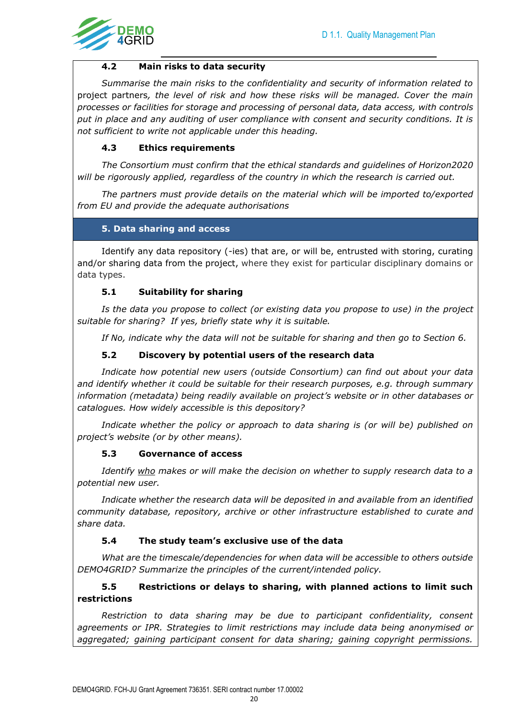

#### **4.2 Main risks to data security**

*Summarise the main risks to the confidentiality and security of information related to*  project partners*, the level of risk and how these risks will be managed. Cover the main processes or facilities for storage and processing of personal data, data access, with controls put in place and any auditing of user compliance with consent and security conditions. It is not sufficient to write not applicable under this heading.*

#### **4.3 Ethics requirements**

*The Consortium must confirm that the ethical standards and guidelines of Horizon2020 will be rigorously applied, regardless of the country in which the research is carried out.* 

*The partners must provide details on the material which will be imported to/exported from EU and provide the adequate authorisations*

#### **5. Data sharing and access**

Identify any data repository (-ies) that are, or will be, entrusted with storing, curating and/or sharing data from the project, where they exist for particular disciplinary domains or data types.

#### **5.1 Suitability for sharing**

*Is the data you propose to collect (or existing data you propose to use) in the project suitable for sharing? If yes, briefly state why it is suitable.*

*If No, indicate why the data will not be suitable for sharing and then go to Section 6.*

#### **5.2 Discovery by potential users of the research data**

*Indicate how potential new users (outside Consortium) can find out about your data and identify whether it could be suitable for their research purposes, e.g. through summary information (metadata) being readily available on project's website or in other databases or catalogues. How widely accessible is this depository?*

*Indicate whether the policy or approach to data sharing is (or will be) published on project's website (or by other means).*

#### **5.3 Governance of access**

*Identify who makes or will make the decision on whether to supply research data to a potential new user.*

*Indicate whether the research data will be deposited in and available from an identified community database, repository, archive or other infrastructure established to curate and share data.*

#### **5.4 The study team's exclusive use of the data**

*What are the timescale/dependencies for when data will be accessible to others outside DEMO4GRID? Summarize the principles of the current/intended policy.* 

#### **5.5 Restrictions or delays to sharing, with planned actions to limit such restrictions**

*Restriction to data sharing may be due to participant confidentiality, consent agreements or IPR. Strategies to limit restrictions may include data being anonymised or aggregated; gaining participant consent for data sharing; gaining copyright permissions.*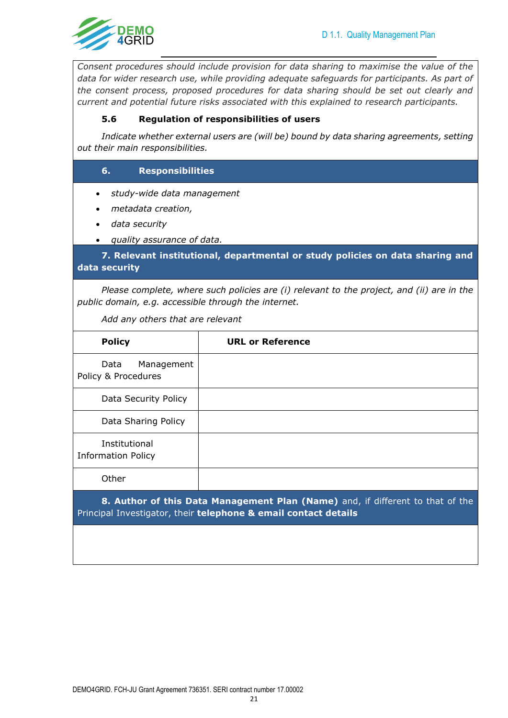

*Consent procedures should include provision for data sharing to maximise the value of the data for wider research use, while providing adequate safeguards for participants. As part of the consent process, proposed procedures for data sharing should be set out clearly and current and potential future risks associated with this explained to research participants.*

#### **5.6 Regulation of responsibilities of users**

*Indicate whether external users are (will be) bound by data sharing agreements, setting out their main responsibilities.*

#### **6. Responsibilities**

- *study-wide data management*
- *metadata creation,*
- *data security*
- *quality assurance of data.*

**7. Relevant institutional, departmental or study policies on data sharing and data security**

*Please complete, where such policies are (i) relevant to the project, and (ii) are in the public domain, e.g. accessible through the internet.*

*Add any others that are relevant*

| <b>Policy</b>                              | <b>URL or Reference</b> |
|--------------------------------------------|-------------------------|
| Data<br>Management<br>Policy & Procedures  |                         |
| Data Security Policy                       |                         |
| Data Sharing Policy                        |                         |
| Institutional<br><b>Information Policy</b> |                         |
| Other                                      |                         |
|                                            |                         |

**8. Author of this Data Management Plan (Name)** and, if different to that of the Principal Investigator, their **telephone & email contact details**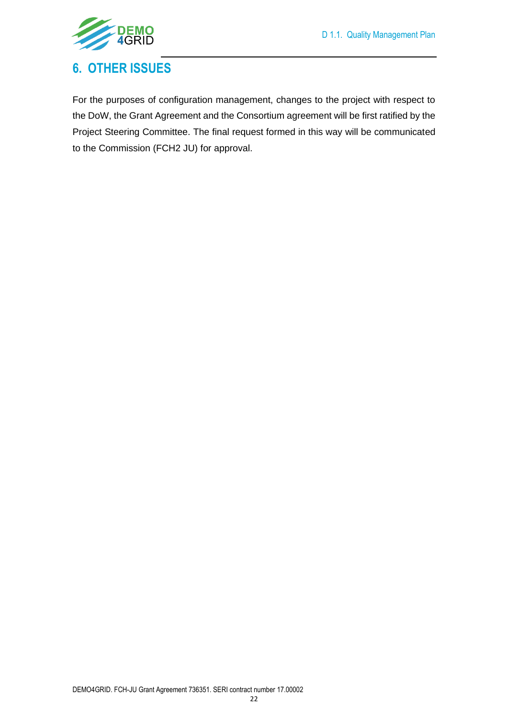

## <span id="page-21-0"></span>**6. OTHER ISSUES**

For the purposes of configuration management, changes to the project with respect to the DoW, the Grant Agreement and the Consortium agreement will be first ratified by the Project Steering Committee. The final request formed in this way will be communicated to the Commission (FCH2 JU) for approval.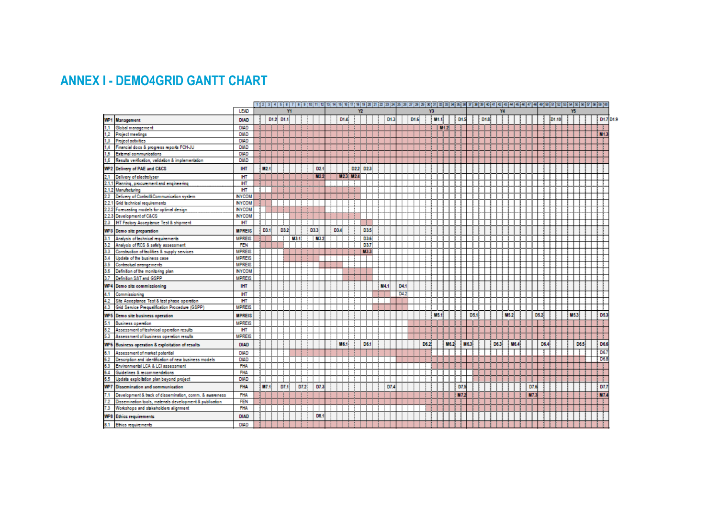## **ANNEX I - DEMO4GRID GANTT CHART**

<span id="page-22-0"></span>

|                 |                                                          | LEAD          |                  | Y1        |      |                |     |                | Y <sub>2</sub>         |            |      |      |      | Y3               |                 |           |            |     |                  |      | Y4 |                  |            |      |       | Y5  |      |           |
|-----------------|----------------------------------------------------------|---------------|------------------|-----------|------|----------------|-----|----------------|------------------------|------------|------|------|------|------------------|-----------------|-----------|------------|-----|------------------|------|----|------------------|------------|------|-------|-----|------|-----------|
|                 |                                                          |               |                  |           |      |                |     |                |                        |            |      |      |      |                  |                 |           |            |     |                  |      |    |                  |            |      |       |     |      | D1.7 D1.9 |
| WP <sub>1</sub> | <b>Management</b>                                        | <b>DIAD</b>   |                  | D1.2 D1.1 |      |                |     | D1.4           |                        |            | D1.3 | D1.6 |      | M <sub>1.1</sub> |                 |           | D1.5       |     | D <sub>1.8</sub> |      |    |                  |            |      | D1.10 |     |      |           |
|                 | Global management                                        | <b>DIAD</b>   |                  |           |      |                |     |                |                        |            |      |      |      |                  | M4 <sub>2</sub> |           |            |     |                  |      |    |                  |            |      |       |     |      |           |
| 1.2             | <b>Project meetings</b>                                  | <b>DIAD</b>   |                  |           |      |                |     |                |                        |            |      |      |      |                  |                 |           |            |     |                  |      |    |                  |            |      |       |     |      | <b>NO</b> |
| 1.3             | <b>Project activities</b>                                | <b>DIAD</b>   |                  |           |      |                |     |                |                        |            |      |      |      |                  |                 |           |            |     |                  |      |    |                  |            |      |       |     |      |           |
| 1.4             | Financial docs & progress reports FCH-JU                 | DIAD          |                  |           |      |                |     |                |                        |            |      |      |      |                  |                 |           |            |     |                  |      |    |                  |            |      |       |     |      |           |
| 1.5             | External communications                                  | <b>DIAD</b>   |                  |           |      |                |     |                |                        |            |      |      |      |                  |                 |           |            |     |                  |      |    |                  |            |      |       |     |      |           |
| 1.6             | Results verification, validation & implementation        | <b>DIAD</b>   |                  |           |      |                |     |                |                        |            |      |      |      |                  |                 |           |            |     |                  |      |    |                  |            |      |       |     |      |           |
| WP <sub>2</sub> | Delivery of PAE and C&CS                                 | <b>IHT</b>    | M <sub>2.1</sub> |           |      | D <sub>2</sub> |     |                | D22<br>D <sub>23</sub> |            |      |      |      |                  |                 |           |            |     |                  |      |    |                  |            |      |       |     |      |           |
| 2.1             | Delivery of electrolyser                                 | ШT            |                  |           |      | M <sub>2</sub> |     | <b>M23 M24</b> |                        |            |      |      |      |                  |                 |           |            |     |                  |      |    |                  |            |      |       |     |      |           |
| 2.1.1           | Planning, procurement and engineering                    | <b>HT</b>     |                  |           |      |                |     |                |                        |            |      |      |      |                  |                 |           |            |     |                  |      |    |                  |            |      |       |     |      |           |
| 2.1.2           | Manufacturing                                            | HT            |                  |           |      |                |     |                |                        |            |      |      |      |                  |                 |           |            |     |                  |      |    |                  |            |      |       |     |      |           |
| 22              | Delivery of Control&Communication system                 | <b>NYCOM</b>  |                  |           |      |                |     |                |                        |            |      |      |      |                  |                 |           |            |     |                  |      |    |                  |            |      |       |     |      |           |
| 2.2.1           | Grid technical requirements                              | <b>NYCOM</b>  |                  |           |      |                |     |                |                        |            |      |      |      |                  |                 |           |            |     |                  |      |    |                  |            |      |       |     |      |           |
|                 | 2.2.2 Forecasting models for optimal design              | <b>INYCOM</b> |                  |           |      |                |     |                |                        |            |      |      |      |                  |                 |           |            |     |                  |      |    |                  |            |      |       |     |      |           |
| 223             | Development of C&CS                                      | <b>NYCOM</b>  |                  |           |      |                |     |                |                        |            |      |      |      |                  |                 |           |            |     |                  |      |    |                  |            |      |       |     |      |           |
| 2.3             | HT Factory Acceptance Test & shipment                    | ШT            |                  |           |      |                |     |                |                        |            |      |      |      |                  |                 |           |            |     |                  |      |    |                  |            |      |       |     |      |           |
|                 | WP3 Demo site preparation                                | <b>MPREIS</b> | D3.1             | D3.2      |      | D3.3           | D3A |                |                        | D3.5       |      |      |      |                  |                 |           |            |     |                  |      |    |                  |            |      |       |     |      |           |
| 3.1             | Analysis of technical requirements                       | <b>MPREIS</b> |                  |           | M34  | NB S           |     |                |                        | D3.6       |      |      |      |                  |                 |           |            |     |                  |      |    |                  |            |      |       |     |      |           |
| 3.2             | Analysis of RCS & safety assessment                      | <b>FEN</b>    |                  |           |      |                |     |                | D37                    |            |      |      |      |                  |                 |           |            |     |                  |      |    |                  |            |      |       |     |      |           |
| 3.3             | Construction of facilities & supply services             | <b>MPREIS</b> |                  |           |      |                |     |                |                        | <b>M33</b> |      |      |      |                  |                 |           |            |     |                  |      |    |                  |            |      |       |     |      |           |
| 3.4             | Update of the business case                              | <b>MPREIS</b> |                  |           |      |                |     |                |                        |            |      |      |      |                  |                 |           |            |     |                  |      |    |                  |            |      |       |     |      |           |
| 3.5             | Contractual arrangements                                 | <b>MPREIS</b> |                  |           |      |                |     |                |                        |            |      |      |      |                  |                 |           |            |     |                  |      |    |                  |            |      |       |     |      |           |
| 3.6             | Definition of the monitoring plan                        | <b>INYCOM</b> |                  |           |      |                |     |                |                        |            |      |      |      |                  |                 |           |            |     |                  |      |    |                  |            |      |       |     |      |           |
| 3.7             | Definition SAT and GSPP                                  | <b>MPREIS</b> |                  |           |      |                |     |                |                        |            |      |      |      |                  |                 |           |            |     |                  |      |    |                  |            |      |       |     |      |           |
| WP4             | Demo site commissioning                                  | <b>IHT</b>    |                  |           |      |                |     |                |                        |            | M4:  | D4.1 |      |                  |                 |           |            |     |                  |      |    |                  |            |      |       |     |      |           |
| 4.1             | Commissioning                                            | <b>HT</b>     |                  |           |      |                |     |                |                        |            |      | D4.2 |      |                  |                 |           |            |     |                  |      |    |                  |            |      |       |     |      |           |
| 4.2             | Site Acceptance Test & test phase operation              | <b>HT</b>     |                  |           |      |                |     |                |                        |            |      |      |      |                  |                 |           |            |     |                  |      |    |                  |            |      |       |     |      |           |
| 4.3             | Grid Service Pregualification Procedure (GSPP)           | <b>MPREIS</b> |                  |           |      |                |     |                |                        |            |      |      |      |                  |                 |           |            |     |                  |      |    |                  |            |      |       |     |      |           |
| WP5             | Demo site business operation                             | <b>MPREIS</b> |                  |           |      |                |     |                |                        |            |      |      |      | US 4             |                 |           |            | D53 |                  |      |    | M <sub>5.2</sub> |            | D5.2 |       | M53 |      |           |
| 5.1             | <b>Business operation</b>                                | <b>MPREIS</b> |                  |           |      |                |     |                |                        |            |      |      |      |                  |                 |           |            |     |                  |      |    |                  |            |      |       |     |      |           |
| 5.2             | Assessment of technical operation results                | <b>IHT</b>    |                  |           |      |                |     |                |                        |            |      |      |      |                  |                 |           |            |     |                  |      |    |                  |            |      |       |     |      |           |
| 5.3             | Assessment of business operation results                 | <b>MPREIS</b> |                  |           |      |                |     |                |                        |            |      |      |      |                  |                 |           |            |     |                  |      |    |                  |            |      |       |     |      |           |
| WP <sub>6</sub> | Business operation & exploitation of results             | <b>DIAD</b>   |                  |           |      |                |     | <b>M6.1</b>    | D6.1                   |            |      |      | D6.2 |                  | M6.2            |           | <b>M63</b> |     |                  | D6.3 |    | M6.4             |            | D6.4 |       |     | D6.5 | D6.6      |
|                 | Assessment of market potential                           | <b>DIAD</b>   |                  |           |      |                |     |                |                        |            |      |      |      |                  |                 |           |            |     |                  |      |    |                  |            |      |       |     |      | D6.       |
| 6.2             | Description and identification of new business models    | <b>DIAD</b>   |                  |           |      |                |     |                |                        |            |      |      |      |                  |                 |           |            |     |                  |      |    |                  |            |      |       |     |      | D6.8      |
| 6.3             | Environmental LCA & LCI assessment                       | <b>FHA</b>    |                  |           |      |                |     |                |                        |            |      |      |      |                  |                 |           |            |     |                  |      |    |                  |            |      |       |     |      |           |
| 6.4             | Guidelines & recommendations                             | <b>FHA</b>    |                  |           |      |                |     |                |                        |            |      |      |      |                  |                 |           |            |     |                  |      |    |                  |            |      |       |     |      |           |
| 6.5             | Undate exploitation plan beyond project                  | <b>DIAD</b>   |                  |           |      |                |     |                |                        |            |      |      |      |                  |                 |           |            |     |                  |      |    |                  |            |      |       |     |      |           |
| WP7             | Dissemination and communication                          | <b>FHA</b>    | M7.1             | DT.1      | D7.2 | D7.            |     |                |                        |            | D7,  |      |      |                  |                 |           | D7.5       |     |                  |      |    |                  | D7.        |      |       |     |      | D7.3      |
| 7.1             | Development & back of dissemination, comm. & awareness   | <b>FHA</b>    |                  |           |      |                |     |                |                        |            |      |      |      |                  |                 | <b>M7</b> |            |     |                  |      |    |                  | <b>M7.</b> |      |       |     |      | <b>M7</b> |
| 7.2             | Dissemination tools, materials development & publication | <b>FEN</b>    |                  |           |      |                |     |                |                        |            |      |      |      |                  |                 |           |            |     |                  |      |    |                  |            |      |       |     |      |           |
| 7.3             | Workshops and stakeholders alignment                     | <b>FHA</b>    |                  |           |      |                |     |                |                        |            |      |      |      |                  |                 |           |            |     |                  |      |    |                  |            |      |       |     |      |           |
| WP8             | <b>Ethics requirements</b>                               | <b>DIAD</b>   |                  |           |      | DB.            |     |                |                        |            |      |      |      |                  |                 |           |            |     |                  |      |    |                  |            |      |       |     |      |           |
|                 |                                                          | <b>DIAD</b>   |                  |           |      |                |     |                |                        |            |      |      |      |                  |                 |           |            |     |                  |      |    |                  |            |      |       |     |      |           |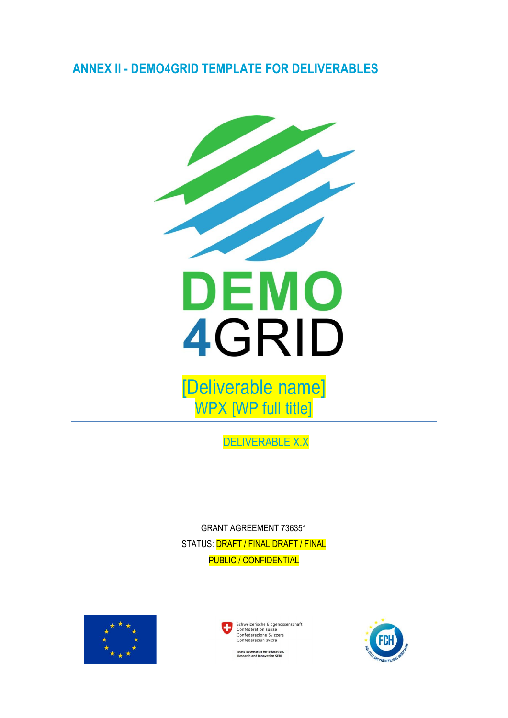### <span id="page-23-0"></span>**ANNEX II - DEMO4GRID TEMPLATE FOR DELIVERABLES**



[Deliverable name] WPX [WP full title]

DELIVERABLE X.X

GRANT AGREEMENT 736351 STATUS: **DRAFT / FINAL DRAFT / FINAL** PUBLIC / CONFIDENTIAL



Schweizerische Fidgenossenschaft Schweizerische Eidgenos<br>Confédération suisse<br>Confederazione Svizzera<br>Confederaziun svizra



.<br>Itate Secretariat for Education<br>Iesearch and Innovation SERI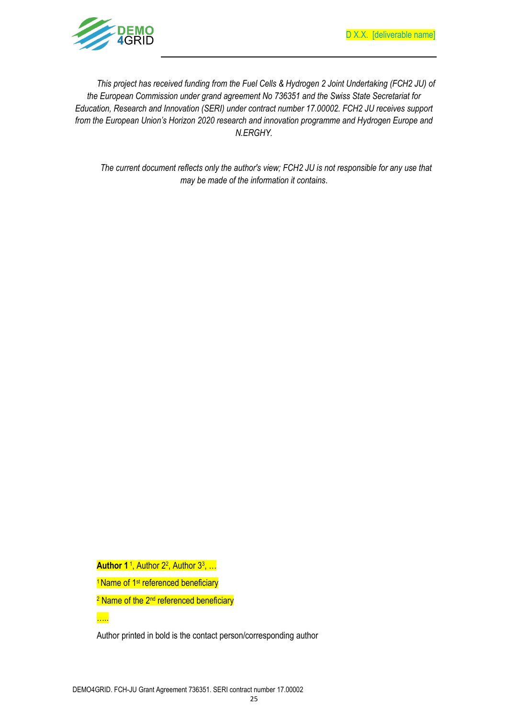

*This project has received funding from the Fuel Cells & Hydrogen 2 Joint Undertaking (FCH2 JU) of the European Commission under grand agreement No 736351 and the Swiss State Secretariat for Education, Research and Innovation (SERI) under contract number 17.00002. FCH2 JU receives support from the European Union's Horizon 2020 research and innovation programme and Hydrogen Europe and N.ERGHY.*

*The current document reflects only the author's view; FCH2 JU is not responsible for any use that may be made of the information it contains*.

**Author 1**<sup>1</sup>, Author 2<sup>2</sup>, Author 3<sup>3</sup>, ...

<sup>1</sup> Name of 1<sup>st</sup> referenced beneficiary

<mark>….</mark>

<sup>2</sup> Name of the 2<sup>nd</sup> referenced beneficiary

Author printed in bold is the contact person/corresponding author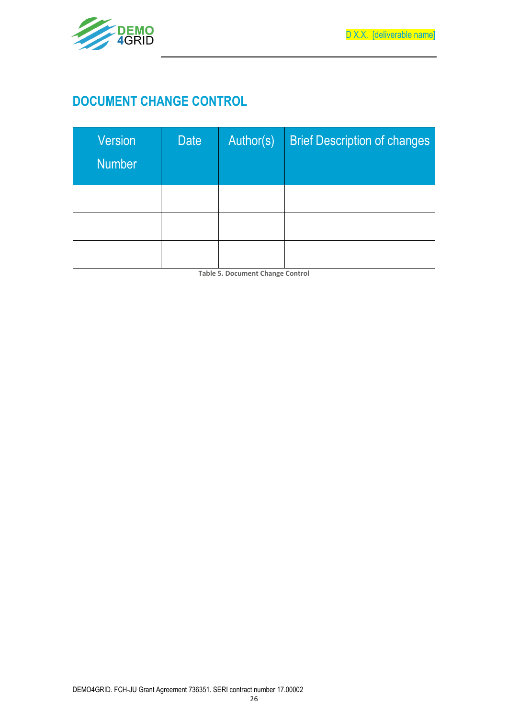



## **DOCUMENT CHANGE CONTROL**

| <b>Version</b><br><b>Number</b> | <b>Date</b> | Author(s) | <b>Brief Description of changes</b> |
|---------------------------------|-------------|-----------|-------------------------------------|
|                                 |             |           |                                     |
|                                 |             |           |                                     |
|                                 |             |           |                                     |

**Table 5. Document Change Control**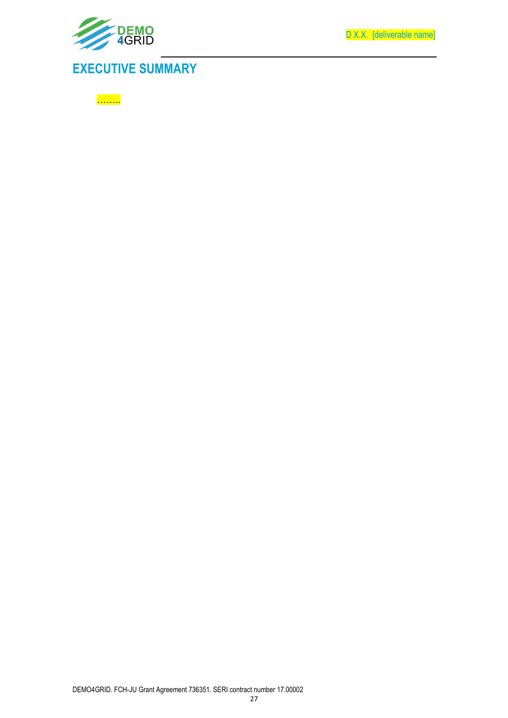

D X.X. [deliverable name]

## **EXECUTIVE SUMMARY**

<mark>………</mark>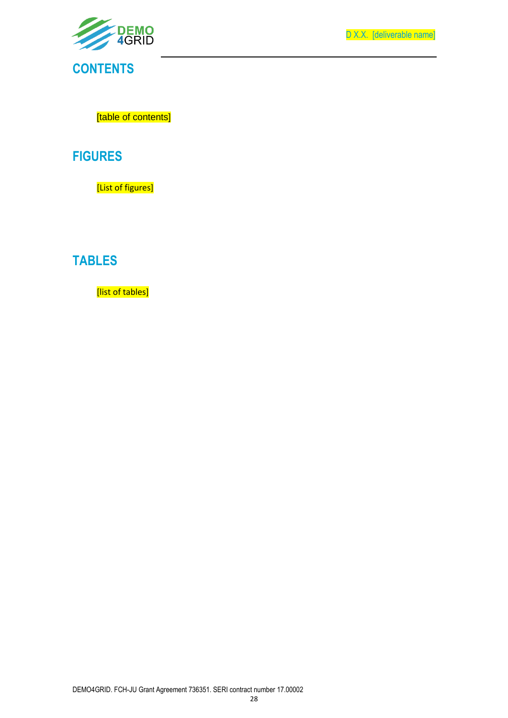

D X.X. [deliverable name]

[table of contents]

### **FIGURES**

[List of figures]

## **TABLES**

[list of tables]